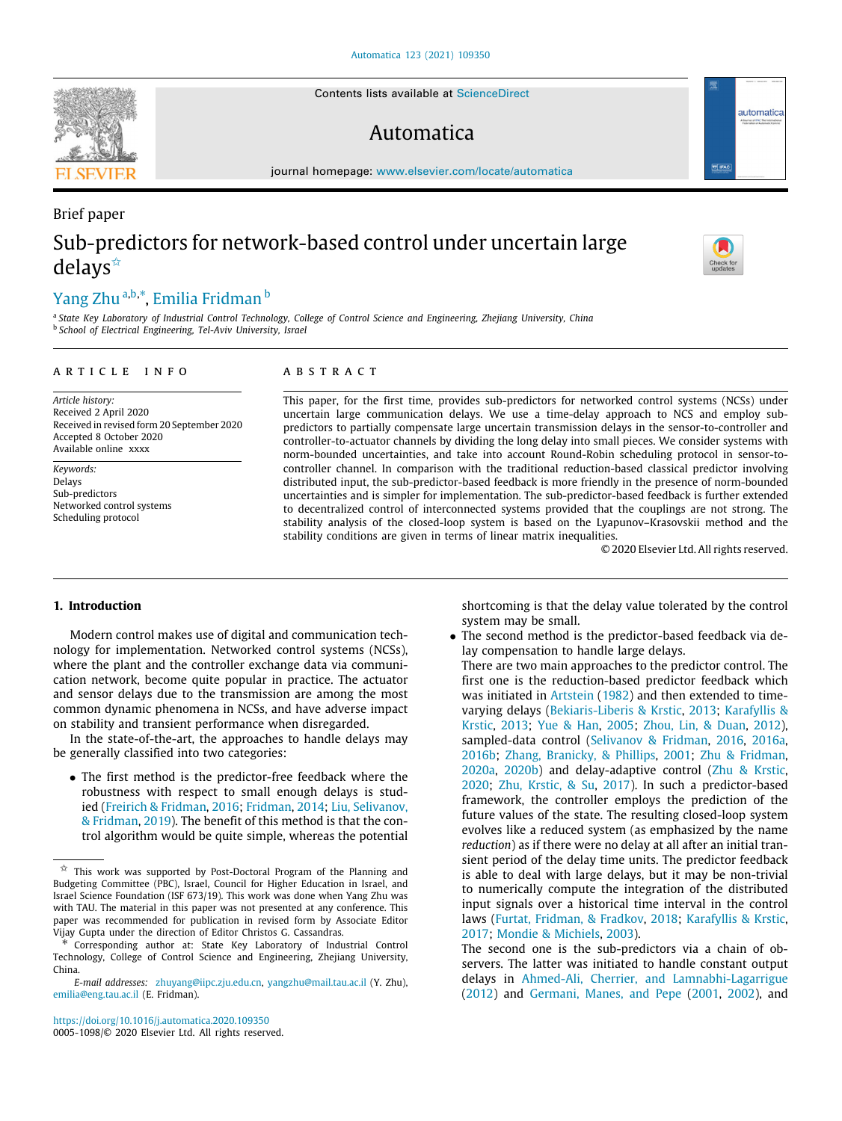Contents lists available at [ScienceDirect](http://www.elsevier.com/locate/automatica)

# Automatica

journal homepage: [www.elsevier.com/locate/automatica](http://www.elsevier.com/locate/automatica)

# Brief paper Sub-predictors for network-based control under uncertain large delays[✩](#page-0-0)

# [Yang](#page-7-0) [Zhu](#page-7-0) <sup>[a](#page-0-1),[b](#page-0-2),[∗](#page-0-3)</sup>, [Emilia](#page-7-1) [Fridman](#page-7-1) <sup>b</sup>

<span id="page-0-2"></span><span id="page-0-1"></span>a *State Key Laboratory of Industrial Control Technology, College of Control Science and Engineering, Zhejiang University, China* b *School of Electrical Engineering, Tel-Aviv University, Israel*

# a r t i c l e i n f o

*Article history:* Received 2 April 2020 Received in revised form 20 September 2020 Accepted 8 October 2020 Available online xxxx

*Keywords:* Delays Sub-predictors Networked control systems Scheduling protocol

# A B S T R A C T

This paper, for the first time, provides sub-predictors for networked control systems (NCSs) under uncertain large communication delays. We use a time-delay approach to NCS and employ subpredictors to partially compensate large uncertain transmission delays in the sensor-to-controller and controller-to-actuator channels by dividing the long delay into small pieces. We consider systems with norm-bounded uncertainties, and take into account Round-Robin scheduling protocol in sensor-tocontroller channel. In comparison with the traditional reduction-based classical predictor involving distributed input, the sub-predictor-based feedback is more friendly in the presence of norm-bounded uncertainties and is simpler for implementation. The sub-predictor-based feedback is further extended to decentralized control of interconnected systems provided that the couplings are not strong. The stability analysis of the closed-loop system is based on the Lyapunov–Krasovskii method and the stability conditions are given in terms of linear matrix inequalities.

© 2020 Elsevier Ltd. All rights reserved.

# **1. Introduction**

Modern control makes use of digital and communication technology for implementation. Networked control systems (NCSs), where the plant and the controller exchange data via communication network, become quite popular in practice. The actuator and sensor delays due to the transmission are among the most common dynamic phenomena in NCSs, and have adverse impact on stability and transient performance when disregarded.

In the state-of-the-art, the approaches to handle delays may be generally classified into two categories:

• The first method is the predictor-free feedback where the robustness with respect to small enough delays is studied ([Freirich & Fridman](#page-7-2), [2016](#page-7-2); [Fridman](#page-7-3), [2014](#page-7-3); [Liu, Selivanov,](#page-7-4) [& Fridman,](#page-7-4) [2019](#page-7-4)). The benefit of this method is that the control algorithm would be quite simple, whereas the potential

<https://doi.org/10.1016/j.automatica.2020.109350> 0005-1098/© 2020 Elsevier Ltd. All rights reserved. shortcoming is that the delay value tolerated by the control system may be small.

• The second method is the predictor-based feedback via delay compensation to handle large delays.

There are two main approaches to the predictor control. The first one is the reduction-based predictor feedback which was initiated in [Artstein](#page-6-0) ([1982](#page-6-0)) and then extended to timevarying delays [\(Bekiaris-Liberis & Krstic,](#page-6-1) [2013;](#page-6-1) [Karafyllis &](#page-7-5) [Krstic,](#page-7-5) [2013;](#page-7-5) [Yue & Han,](#page-7-6) [2005;](#page-7-6) [Zhou, Lin, & Duan,](#page-7-7) [2012\)](#page-7-7), sampled-data control [\(Selivanov & Fridman,](#page-7-8) [2016](#page-7-8), [2016a,](#page-7-9) [2016b;](#page-7-10) [Zhang, Branicky, & Phillips,](#page-7-11) [2001;](#page-7-11) [Zhu & Fridman,](#page-7-12) [2020a](#page-7-12), [2020b\)](#page-7-13) and delay-adaptive control [\(Zhu & Krstic,](#page-7-14) [2020](#page-7-14); [Zhu, Krstic, & Su,](#page-7-15) [2017](#page-7-15)). In such a predictor-based framework, the controller employs the prediction of the future values of the state. The resulting closed-loop system evolves like a reduced system (as emphasized by the name *reduction*) as if there were no delay at all after an initial transient period of the delay time units. The predictor feedback is able to deal with large delays, but it may be non-trivial to numerically compute the integration of the distributed input signals over a historical time interval in the control laws ([Furtat, Fridman, & Fradkov](#page-7-16), [2018;](#page-7-16) [Karafyllis & Krstic,](#page-7-17) [2017](#page-7-17); [Mondie & Michiels](#page-7-18), [2003](#page-7-18)).

The second one is the sub-predictors via a chain of observers. The latter was initiated to handle constant output delays in [Ahmed-Ali, Cherrier, and Lamnabhi-Lagarrigue](#page-6-2) ([2012](#page-6-2)) and [Germani, Manes, and Pepe](#page-7-19) ([2001,](#page-7-19) [2002](#page-7-20)), and







<span id="page-0-0"></span> $\overrightarrow{x}$  This work was supported by Post-Doctoral Program of the Planning and Budgeting Committee (PBC), Israel, Council for Higher Education in Israel, and Israel Science Foundation (ISF 673/19). This work was done when Yang Zhu was with TAU. The material in this paper was not presented at any conference. This paper was recommended for publication in revised form by Associate Editor Vijay Gupta under the direction of Editor Christos G. Cassandras.

<span id="page-0-3"></span><sup>∗</sup> Corresponding author at: State Key Laboratory of Industrial Control Technology, College of Control Science and Engineering, Zhejiang University, China.

*E-mail addresses:* [zhuyang@iipc.zju.edu.cn](mailto:zhuyang@iipc.zju.edu.cn), [yangzhu@mail.tau.ac.il](mailto:yangzhu@mail.tau.ac.il) (Y. Zhu), [emilia@eng.tau.ac.il](mailto:emilia@eng.tau.ac.il) (E. Fridman).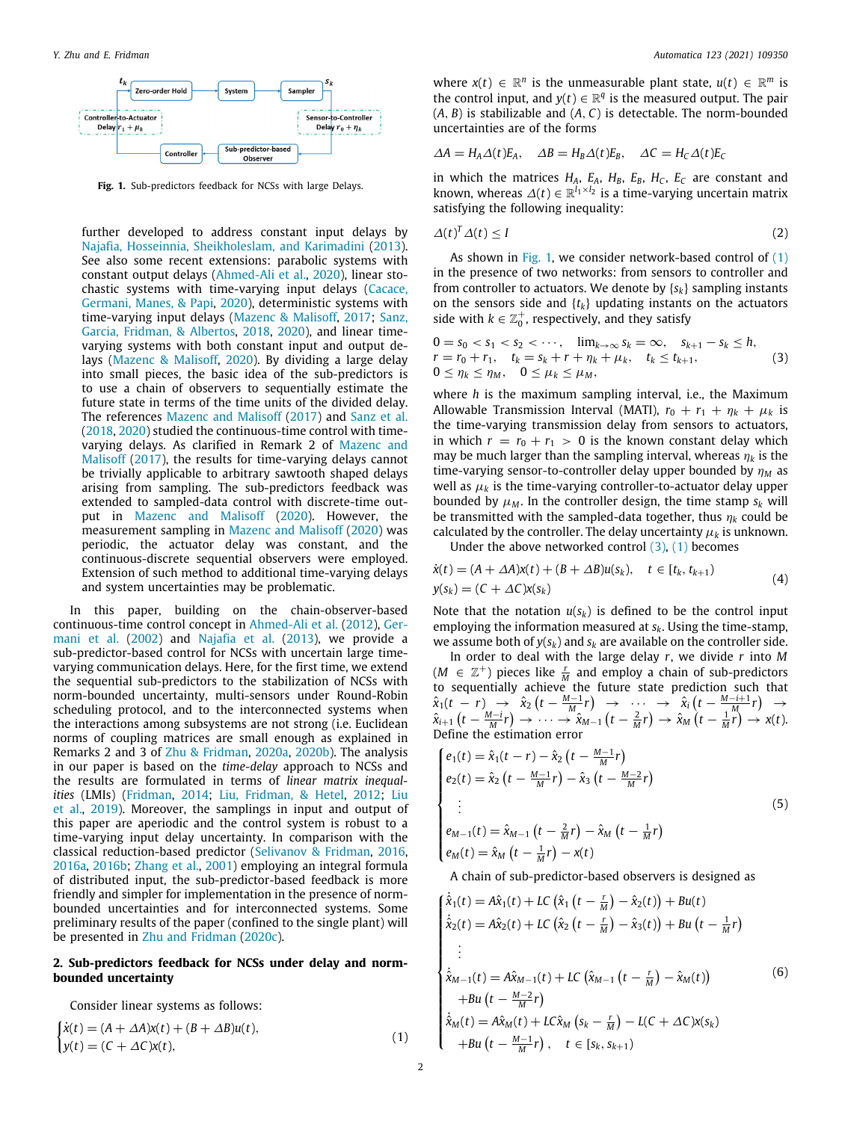

<span id="page-1-0"></span>Fig. 1. Sub-predictors feedback for NCSs with large Delays.

further developed to address constant input delays by [Najafia, Hosseinnia, Sheikholeslam, and Karimadini](#page-7-21) [\(2013\)](#page-7-21). See also some recent extensions: parabolic systems with constant output delays ([Ahmed-Ali et al.,](#page-6-3) [2020\)](#page-6-3), linear stochastic systems with time-varying input delays ([Cacace,](#page-6-4) [Germani, Manes, & Papi](#page-6-4), [2020](#page-6-4)), deterministic systems with time-varying input delays [\(Mazenc & Malisoff](#page-7-22), [2017;](#page-7-22) [Sanz,](#page-7-23) [Garcia, Fridman, & Albertos](#page-7-23), [2018](#page-7-23), [2020\)](#page-7-24), and linear timevarying systems with both constant input and output delays ([Mazenc & Malisoff](#page-7-25), [2020](#page-7-25)). By dividing a large delay into small pieces, the basic idea of the sub-predictors is to use a chain of observers to sequentially estimate the future state in terms of the time units of the divided delay. The references [Mazenc and Malisoff](#page-7-22) [\(2017\)](#page-7-22) and [Sanz et al.](#page-7-23) ([2018](#page-7-23), [2020](#page-7-24)) studied the continuous-time control with timevarying delays. As clarified in Remark 2 of [Mazenc and](#page-7-22) [Malisoff](#page-7-22) [\(2017](#page-7-22)), the results for time-varying delays cannot be trivially applicable to arbitrary sawtooth shaped delays arising from sampling. The sub-predictors feedback was extended to sampled-data control with discrete-time output in [Mazenc and Malisoff](#page-7-25) [\(2020\)](#page-7-25). However, the measurement sampling in [Mazenc and Malisoff](#page-7-25) [\(2020\)](#page-7-25) was periodic, the actuator delay was constant, and the continuous-discrete sequential observers were employed. Extension of such method to additional time-varying delays and system uncertainties may be problematic.

In this paper, building on the chain-observer-based continuous-time control concept in [Ahmed-Ali et al.](#page-6-2) ([2012](#page-6-2)), [Ger](#page-7-20)[mani et al.](#page-7-20) ([2002](#page-7-20)) and [Najafia et al.](#page-7-21) ([2013](#page-7-21)), we provide a sub-predictor-based control for NCSs with uncertain large timevarying communication delays. Here, for the first time, we extend the sequential sub-predictors to the stabilization of NCSs with norm-bounded uncertainty, multi-sensors under Round-Robin scheduling protocol, and to the interconnected systems when the interactions among subsystems are not strong (i.e. Euclidean norms of coupling matrices are small enough as explained in Remarks 2 and 3 of [Zhu & Fridman,](#page-7-12) [2020a](#page-7-12), [2020b](#page-7-13)). The analysis in our paper is based on the *time-delay* approach to NCSs and the results are formulated in terms of *linear matrix inequalities* (LMIs) ([Fridman,](#page-7-3) [2014;](#page-7-3) [Liu, Fridman, & Hetel](#page-7-26), [2012](#page-7-26); [Liu](#page-7-4) [et al.](#page-7-4), [2019](#page-7-4)). Moreover, the samplings in input and output of this paper are aperiodic and the control system is robust to a time-varying input delay uncertainty. In comparison with the classical reduction-based predictor [\(Selivanov & Fridman](#page-7-8), [2016,](#page-7-8) [2016a](#page-7-9), [2016b;](#page-7-10) [Zhang et al.,](#page-7-11) [2001\)](#page-7-11) employing an integral formula of distributed input, the sub-predictor-based feedback is more friendly and simpler for implementation in the presence of normbounded uncertainties and for interconnected systems. Some preliminary results of the paper (confined to the single plant) will be presented in [Zhu and Fridman](#page-7-27) [\(2020c](#page-7-27)).

# **2. Sub-predictors feedback for NCSs under delay and normbounded uncertainty**

Consider linear systems as follows:

$$
\begin{cases}\n\dot{x}(t) = (A + \Delta A)x(t) + (B + \Delta B)u(t), \\
y(t) = (C + \Delta C)x(t),\n\end{cases}
$$
\n(1)

where  $x(t) \in \mathbb{R}^n$  is the unmeasurable plant state,  $u(t) \in \mathbb{R}^m$  is the control input, and  $y(t) \in \mathbb{R}^q$  is the measured output. The pair (*A*, *B*) is stabilizable and (*A*, *C*) is detectable. The norm-bounded uncertainties are of the forms

$$
\Delta A = H_A \Delta(t) E_A, \quad \Delta B = H_B \Delta(t) E_B, \quad \Delta C = H_C \Delta(t) E_C
$$

in which the matrices  $H_A$ ,  $E_A$ ,  $H_B$ ,  $E_B$ ,  $H_C$ ,  $E_C$  are constant and known, whereas  $\Delta(t) \in \mathbb{R}^{l_1 \times l_2}$  is a time-varying uncertain matrix satisfying the following inequality:

<span id="page-1-6"></span>
$$
\Delta(t)^T \Delta(t) \le I \tag{2}
$$

As shown in [Fig.](#page-1-0) [1,](#page-1-0) we consider network-based control of ([1\)](#page-1-1) in the presence of two networks: from sensors to controller and from controller to actuators. We denote by {*sk*} sampling instants on the sensors side and  ${t_k}$  updating instants on the actuators side with  $k \in \mathbb{Z}_0^+$ , respectively, and they satisfy

<span id="page-1-2"></span>
$$
0 = s_0 < s_1 < s_2 < \cdots
$$
  
\n
$$
r = r_0 + r_1, \quad t_k = s_k + r + \eta_k + \mu_k, \quad t_k \le t_{k+1},
$$
  
\n
$$
0 \le \eta_k \le \eta_M, \quad 0 \le \mu_k \le \mu_M,
$$
\n(3)

where *h* is the maximum sampling interval, i.e., the Maximum Allowable Transmission Interval (MATI),  $r_0 + r_1 + \eta_k + \mu_k$  is the time-varying transmission delay from sensors to actuators, in which  $r = r_0 + r_1 > 0$  is the known constant delay which may be much larger than the sampling interval, whereas  $\eta_k$  is the time-varying sensor-to-controller delay upper bounded by *η<sub>M</sub>* as well as  $\mu_k$  is the time-varying controller-to-actuator delay upper bounded by  $\mu_M$ . In the controller design, the time stamp  $s_k$  will be transmitted with the sampled-data together, thus  $\eta_k$  could be calculated by the controller. The delay uncertainty  $\mu_k$  is unknown.

<span id="page-1-5"></span>Under the above networked control  $(3)$ ,  $(1)$  $(1)$  becomes

$$
\dot{x}(t) = (A + \Delta A)x(t) + (B + \Delta B)u(s_k), \quad t \in [t_k, t_{k+1})
$$
  
\n
$$
y(s_k) = (C + \Delta C)x(s_k)
$$
\n(4)

Note that the notation  $u(s_k)$  is defined to be the control input employing the information measured at *sk*. Using the time-stamp, we assume both of  $y(s_k)$  and  $s_k$  are available on the controller side.

In order to deal with the large delay *r*, we divide *r* into *M* (*M* ∈  $\mathbb{Z}^+$ ) pieces like  $\frac{r}{M}$  and employ a chain of sub-predictors to sequentially achieve the future state prediction such that  $\hat{x}_1(t - r) \rightarrow \hat{x}_2(t - \frac{M-1}{M}r) \rightarrow \cdots \rightarrow \hat{x}_i(t - \frac{M-i+1}{M}r) \rightarrow$  $\hat{x}_{i+1}(t - \frac{M-i}{M}r) \rightarrow \cdots \rightarrow \hat{x}_{M-1}(t - \frac{2}{M}r) \rightarrow \hat{x}_M(t - \frac{1}{M}r) \rightarrow x(t)$ . Define the estimation error

$$
\begin{cases}\ne_1(t) = \hat{x}_1(t-r) - \hat{x}_2(t - \frac{M-1}{M}r) \\
e_2(t) = \hat{x}_2(t - \frac{M-1}{M}r) - \hat{x}_3(t - \frac{M-2}{M}r) \\
\vdots \\
e_{M-1}(t) = \hat{x}_{M-1}(t - \frac{2}{M}r) - \hat{x}_M(t - \frac{1}{M}r) \\
e_M(t) = \hat{x}_M(t - \frac{1}{M}r) - x(t)\n\end{cases}
$$
\n(5)

<span id="page-1-4"></span><span id="page-1-3"></span>A chain of sub-predictor-based observers is designed as

<span id="page-1-1"></span>
$$
\begin{cases}\n\dot{\hat{x}}_1(t) = A\hat{x}_1(t) + LC\left(\hat{x}_1(t - \frac{r}{M}) - \hat{x}_2(t)\right) + Bu(t) \\
\dot{\hat{x}}_2(t) = A\hat{x}_2(t) + LC\left(\hat{x}_2(t - \frac{r}{M}) - \hat{x}_3(t)\right) + Bu\left(t - \frac{1}{M}r\right) \\
\vdots \\
\dot{\hat{x}}_{M-1}(t) = A\hat{x}_{M-1}(t) + LC\left(\hat{x}_{M-1}(t - \frac{r}{M}) - \hat{x}_M(t)\right) \\
+ Bu\left(t - \frac{M-2}{M}r\right) \\
\dot{\hat{x}}_M(t) = A\hat{x}_M(t) + LC\hat{x}_M\left(s_k - \frac{r}{M}\right) - L(C + \Delta C)x(s_k) \\
+ Bu\left(t - \frac{M-1}{M}r\right), \quad t \in [s_k, s_{k+1})\n\end{cases}
$$
\n(6)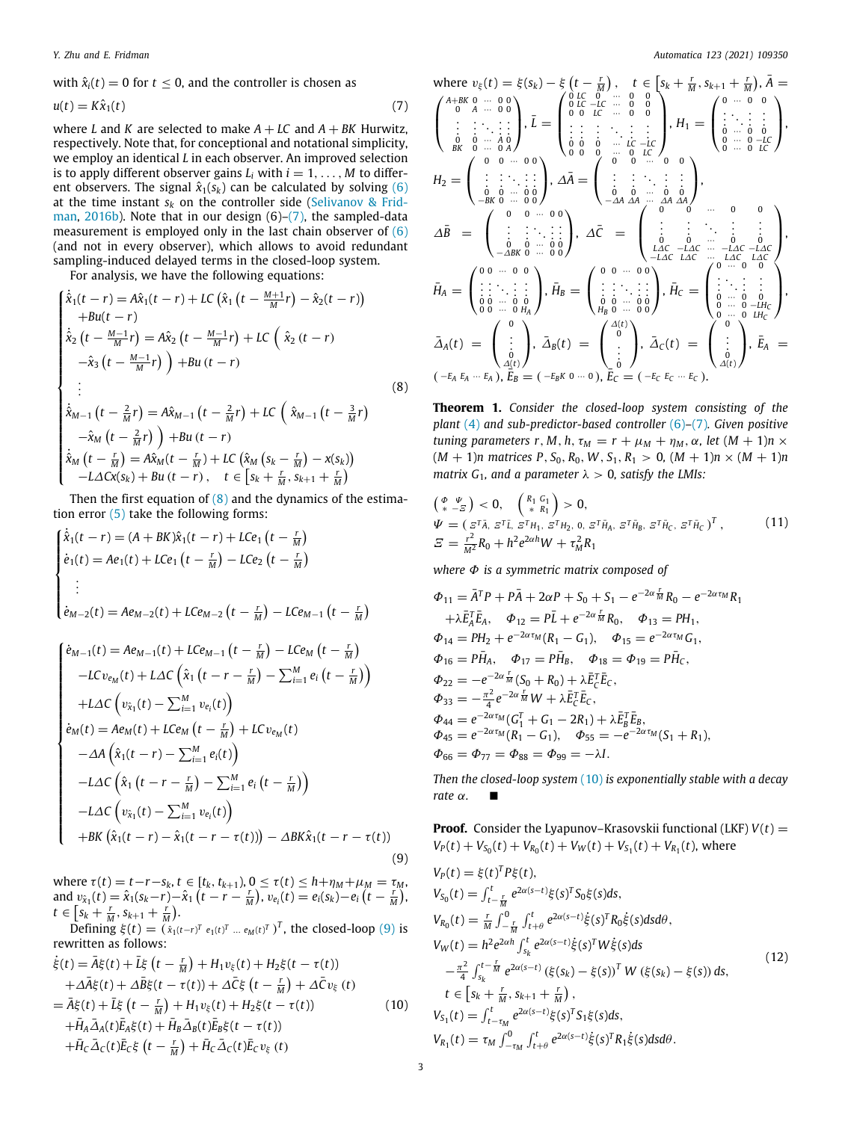with  $\hat{x}_i(t) = 0$  for  $t \le 0$ , and the controller is chosen as

$$
u(t) = K\hat{\mathbf{x}}_1(t) \tag{7}
$$

where *L* and *K* are selected to make  $A + LC$  and  $A + BK$  Hurwitz, respectively. Note that, for conceptional and notational simplicity, we employ an identical *L* in each observer. An improved selection is to apply different observer gains  $L_i$  with  $i = 1, \ldots, M$  to different observers. The signal  $\hat{x}_1(s_k)$  can be calculated by solving ([6\)](#page-1-3) at the time instant  $s_k$  on the controller side [\(Selivanov & Frid](#page-7-10)[man,](#page-7-10) [2016b\)](#page-7-10). Note that in our design (6)–[\(7](#page-2-0)), the sampled-data measurement is employed only in the last chain observer of  $(6)$  $(6)$ (and not in every observer), which allows to avoid redundant sampling-induced delayed terms in the closed-loop system.

For analysis, we have the following equations:

$$
\begin{cases}\n\dot{\hat{x}}_1(t-r) = A\hat{x}_1(t-r) + LC\left(\hat{x}_1(t - \frac{M+1}{M}r) - \hat{x}_2(t-r)\right) \\
+ Bu(t-r) \\
\dot{\hat{x}}_2(t - \frac{M-1}{M}r) = A\hat{x}_2(t - \frac{M-1}{M}r) + LC\left(\hat{x}_2(t-r) - \hat{x}_3(t - \frac{M-1}{M}r)\right) + Bu(t-r) \\
\vdots \\
\dot{\hat{x}}_{M-1}(t - \frac{2}{M}r) = A\hat{x}_{M-1}(t - \frac{2}{M}r) + LC\left(\hat{x}_{M-1}(t - \frac{3}{M}r) - \hat{x}_M(t - \frac{7}{M}r)\right) + Bu(t-r) \\
\dot{\hat{x}}_M(t - \frac{7}{M}) = A\hat{x}_M(t - \frac{r}{M}) + LC\left(\hat{x}_M(s_k - \frac{r}{M}) - x(s_k)\right) \\
-LACx(s_k) + Bu(t-r), \quad t \in [s_k + \frac{r}{M}, s_{k+1} + \frac{r}{M})\n\end{cases}
$$
\n(8)

Then the first equation of  $(8)$  $(8)$  and the dynamics of the estimation error  $(5)$  $(5)$  take the following forms:

$$
\begin{cases}\n\dot{\hat{x}}_1(t-r) = (A + BK)\hat{x}_1(t-r) + LCe_1(t - \frac{r}{M}) \\
\dot{e}_1(t) = Ae_1(t) + LCe_1(t - \frac{r}{M}) - LCe_2(t - \frac{r}{M}) \\
\vdots \\
\dot{e}_{M-2}(t) = Ae_{M-2}(t) + LCe_{M-2}(t - \frac{r}{M}) - LCe_{M-1}(t - \frac{r}{M})\n\end{cases}
$$

$$
\begin{cases}\n\dot{e}_{M-1}(t) = Ae_{M-1}(t) + LCe_{M-1}(t - \frac{r}{M}) - LCe_{M}(t - \frac{r}{M}) \\
-LCe_{M}(t) + L\Delta C \left(\hat{x}_{1}(t - r - \frac{r}{M}) - \sum_{i=1}^{M} e_{i}(t - \frac{r}{M})\right) \\
+ L\Delta C \left(v_{\hat{x}_{1}}(t) - \sum_{i=1}^{M} v_{e_{i}}(t)\right) \\
\dot{e}_{M}(t) = Ae_{M}(t) + LCe_{M}(t - \frac{r}{M}) + LCu_{e_{M}}(t) \\
-AA \left(\hat{x}_{1}(t - r) - \sum_{i=1}^{M} e_{i}(t)\right) \\
-L\Delta C \left(\hat{x}_{1}(t - r - \frac{r}{M}) - \sum_{i=1}^{M} e_{i}(t - \frac{r}{M})\right) \\
-L\Delta C \left(v_{\hat{x}_{1}}(t) - \sum_{i=1}^{M} v_{e_{i}}(t)\right) \\
+BK \left(\hat{x}_{1}(t - r) - \hat{x}_{1}(t - r - \tau(t))\right) - \Delta B K \hat{x}_{1}(t - r - \tau(t))\n\end{cases}
$$
\n(9)

where  $\tau(t) = t - r - s_k$ ,  $t \in [t_k, t_{k+1})$ ,  $0 \le \tau(t) \le h + \eta_M + \mu_M = \tau_M$ , and  $v_{\hat{x}_1}(t) = \hat{x}_1(s_k - r) - \hat{x}_1(t - r - \frac{r}{M})$ ,  $v_{e_i}(t) = e_i(s_k) - e_i(t - \frac{r}{M})$ ,  $t \in \left[ s_k + \frac{r}{M}, s_{k+1} + \frac{r}{M} \right).$ 

Defining  $\xi(t) = (\hat{x}_1(t-r)^T e_1(t)^T ... e_M(t)^T)^T$ , the closed-loop ([9](#page-2-2)) is rewritten as follows:

$$
\dot{\xi}(t) = \bar{A}\xi(t) + \bar{L}\xi(t - \frac{r}{M}) + H_1v_{\xi}(t) + H_2\xi(t - \tau(t))
$$
\n
$$
+ \Delta\bar{A}\xi(t) + \Delta\bar{B}\xi(t - \tau(t)) + \Delta\bar{C}\xi(t - \frac{r}{M}) + \Delta\bar{C}v_{\xi}(t)
$$
\n
$$
= \bar{A}\xi(t) + \bar{L}\xi(t - \frac{r}{M}) + H_1v_{\xi}(t) + H_2\xi(t - \tau(t))
$$
\n
$$
+ \bar{H}_A\bar{\Delta}A(t)\bar{E}_A\xi(t) + \bar{H}_B\bar{\Delta}_B(t)\bar{E}_B\xi(t - \tau(t))
$$
\n
$$
+ \bar{H}_C\bar{\Delta}_C(t)\bar{E}_C\xi(t - \frac{r}{M}) + \bar{H}_C\bar{\Delta}_C(t)\bar{E}_Cv_{\xi}(t)
$$
\n(10)

<span id="page-2-0"></span>where 
$$
v_{\xi}(t) = \xi(s_k) - \xi(t - \frac{r}{M})
$$
,  $t \in [s_k + \frac{r}{M}, s_{k+1} + \frac{r}{M})$ ,  $\bar{A} =$   
\n $\begin{pmatrix}\nA+BK & 0 & \cdots & 0 & 0 \\
0 & A & \cdots & 0 & 0 \\
\vdots & \vdots & \ddots & \vdots & \vdots \\
0 & 0 & \cdots & 0 & 0 \\
\vdots & \vdots & \ddots & \vdots & \vdots \\
0 & 0 & \cdots & 0 & 0 \\
BK & 0 & \cdots & 0 & 0\n\end{pmatrix}$ ,  $\bar{L} = \begin{pmatrix}\n0 & LC & 0 & \cdots & 0 & 0 \\
0 & LC & -LC & \cdots & 0 & 0 \\
\vdots & \vdots & \ddots & \vdots & \vdots & \vdots \\
0 & 0 & 0 & \cdots & 0 & 0 \\
\vdots & \vdots & \ddots & \vdots & \vdots & \vdots \\
0 & 0 & 0 & \cdots & 0 & 0 \\
0 & 0 & 0 & \cdots & 0 & 0\n\end{pmatrix}$ ,  $A\bar{A} = \begin{pmatrix}\n0 & \cdots & 0 & 0 & 0 \\
\vdots & \ddots & \vdots & \vdots & \vdots & \vdots \\
0 & \cdots & 0 & -LC & 0 & 0 \\
\vdots & \vdots & \ddots & \vdots & \vdots & \vdots \\
0 & 0 & \cdots & 0 & 0 & 0 \\
-ABK & 0 & \cdots & 0 & 0\n\end{pmatrix}$ ,  $\Delta\bar{C} = \begin{pmatrix}\n\vdots & \vdots & \ddots & \vdots & \vdots \\
\vdots & \vdots & \ddots & \vdots & \vdots & \vdots \\
\vdots & \vdots & \ddots & \vdots & \vdots & \vdots \\
\vdots & \vdots & \ddots & \vdots & \vdots & \vdots \\
\vdots & \vdots & \ddots & \vdots & \vdots & \vdots \\
\vdots & \vdots & \ddots & \vdots & \vdots & \vdots \\
\vdots & \vdots & \ddots & \vdots & \vdots & \vdots \\
\vdots & \vdots & \ddots & \vdots & \vdots & \vdots \\
\vdots & \vdots & \ddots & \vdots & \vdots & \vdots \\
\vdots & \vdots & \ddots & \vdots & \vdots & \vd$ 

<span id="page-2-6"></span><span id="page-2-1"></span>**Theorem 1.** *Consider the closed-loop system consisting of the plant* ([4](#page-1-5)) *and sub-predictor-based controller* [\(6\)](#page-1-3)*–*([7\)](#page-2-0)*. Given positive tuning parameters r, M, h,*  $\tau_M = r + \mu_M + \eta_M$ ,  $\alpha$ , let  $(M + 1)n \times$  $(M + 1)n$  matrices P,  $S_0$ ,  $R_0$ , W,  $S_1$ ,  $R_1 > 0$ ,  $(M + 1)n \times (M + 1)n$ *matrix*  $G_1$ *, and a parameter*  $\lambda > 0$ *, satisfy the LMIs:* 

<span id="page-2-5"></span>
$$
\begin{array}{l} \left(\begin{array}{cc} \phi & \psi \\ * & -\overline{\varepsilon} \end{array}\right) < 0, \quad \left(\begin{array}{c} R_1 & G_1 \\ * & R_1 \end{array}\right) > 0, \\ \Psi = \left(\begin{array}{cc} \varepsilon^T \bar{A}, \, \varepsilon^T \bar{L}, \, \varepsilon^T H_1, \, \varepsilon^T H_2, \, 0, \, \varepsilon^T \bar{H}_A, \, \varepsilon^T \bar{H}_B, \, \varepsilon^T \bar{H}_C, \, \varepsilon^T \bar{H}_C \end{array}\right)^T, \quad \text{(11)} \\ \varXi = \frac{r^2}{M^2} R_0 + h^2 e^{2\alpha h} W + \tau_M^2 R_1 \end{array}
$$

*where* Φ *is a symmetric matrix composed of*

$$
\Phi_{11} = \bar{A}^T P + P\bar{A} + 2\alpha P + S_0 + S_1 - e^{-2\alpha \frac{r}{M}} R_0 - e^{-2\alpha \tau_M} R_1 \n+ \lambda \bar{E}_A^T \bar{E}_A, \quad \Phi_{12} = P\bar{L} + e^{-2\alpha \frac{r}{M}} R_0, \quad \Phi_{13} = P H_1, \n\Phi_{14} = P H_2 + e^{-2\alpha \tau_M} (R_1 - G_1), \quad \Phi_{15} = e^{-2\alpha \tau_M} G_1, \n\Phi_{16} = P \bar{H}_A, \quad \Phi_{17} = P \bar{H}_B, \quad \Phi_{18} = \Phi_{19} = P \bar{H}_C, \n\Phi_{22} = -e^{-2\alpha \frac{r}{M}} (S_0 + R_0) + \lambda \bar{E}_C^T \bar{E}_C, \n\Phi_{33} = -\frac{\pi^2}{4} e^{-2\alpha \frac{r}{M}} W + \lambda \bar{E}_C^T \bar{E}_C, \n\Phi_{44} = e^{-2\alpha \tau_M} (G_1^T + G_1 - 2R_1) + \lambda \bar{E}_B^T \bar{E}_B, \n\Phi_{45} = e^{-2\alpha \tau_M} (R_1 - G_1), \quad \Phi_{55} = -e^{-2\alpha \tau_M} (S_1 + R_1), \n\Phi_{66} = \Phi_{77} = \Phi_{88} = \Phi_{99} = -\lambda I.
$$

*Then the closed-loop system* ([10\)](#page-2-3) *is exponentially stable with a decay rate* α*.* ■

<span id="page-2-4"></span><span id="page-2-3"></span><span id="page-2-2"></span>**Proof.** Consider the Lyapunov-Krasovskii functional (LKF) 
$$
V(t) = V_p(t) + V_{S_0}(t) + V_{R_0}(t) + V_W(t) + V_{S_1}(t) + V_{R_1}(t)
$$
, where  
\n
$$
V_p(t) = \xi(t)^T P \xi(t),
$$
\n
$$
V_{S_0}(t) = \int_{t-\frac{r}{M}}^{t} e^{2\alpha(s-t)} \xi(s)^T S_0 \xi(s) ds,
$$
\n
$$
V_{R_0}(t) = \frac{r}{M} \int_{-\frac{r}{M}}^{0} \int_{t+\theta}^{t} e^{2\alpha(s-t)} \xi(s)^T R_0 \xi(s) ds d\theta,
$$
\n
$$
V_W(t) = h^2 e^{2\alpha h} \int_{S_k}^{t} e^{2\alpha(s-t)} \xi(s)^T W \xi(s) ds
$$
\n
$$
- \frac{\pi^2}{4} \int_{s_k}^{t-\frac{r}{M}} e^{2\alpha(s-t)} (\xi(s_k) - \xi(s))^T W (\xi(s_k) - \xi(s)) ds,
$$
\n
$$
t \in [s_k + \frac{r}{M}, s_{k+1} + \frac{r}{M}),
$$
\n
$$
V_{S_1}(t) = \int_{t-\tau_M}^{t} e^{2\alpha(s-t)} \xi(s)^T S_1 \xi(s) ds,
$$
\n
$$
V_{R_1}(t) = \tau_M \int_{-\tau_M}^{0} \int_{t+\theta}^{t} e^{2\alpha(s-t)} \xi(s)^T R_1 \xi(s) ds d\theta.
$$
\n(12)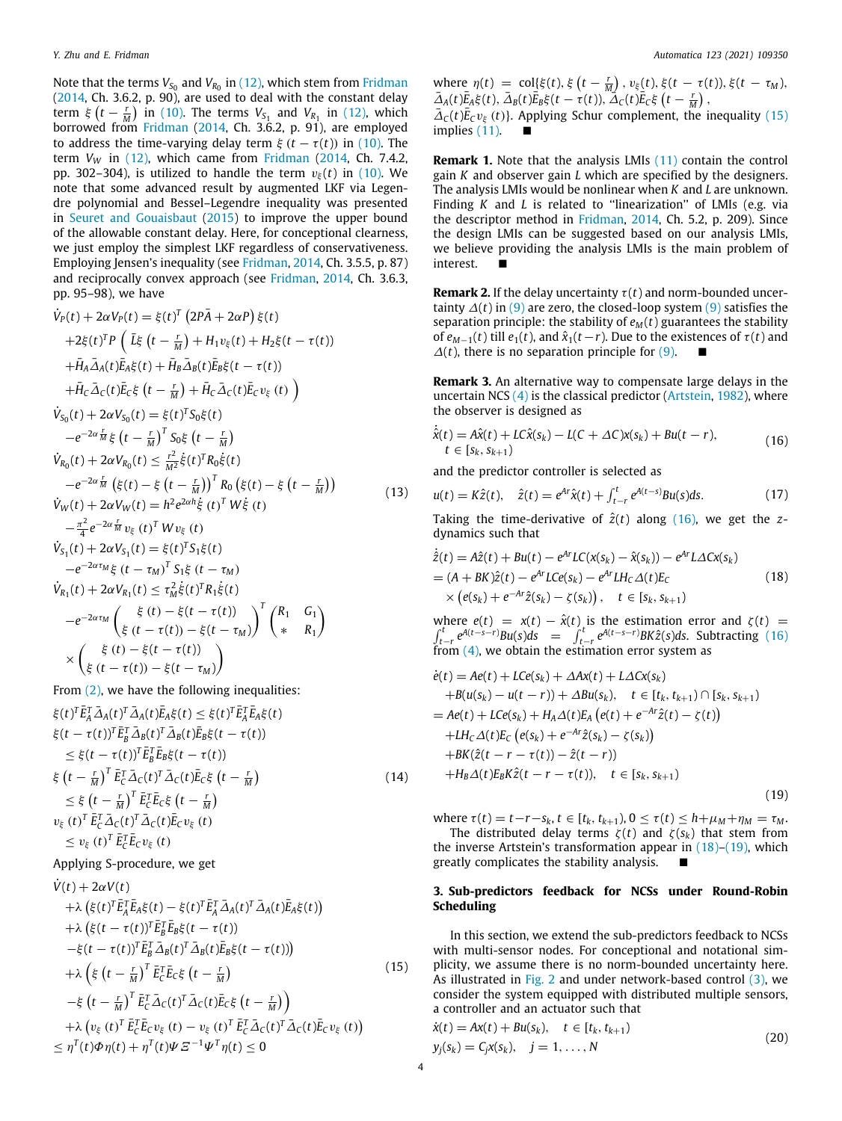Note that the terms  $V_{S_0}$  and  $V_{R_0}$  in [\(12\)](#page-2-4), which stem from [Fridman](#page-7-3) ([2014,](#page-7-3) Ch. 3.6.2, p. 90), are used to deal with the constant delay term  $\xi(t - \frac{r}{M})$  in ([10](#page-2-3)). The terms  $V_{S_1}$  and  $V_{R_1}$  in [\(12\)](#page-2-4), which borrowed from [Fridman](#page-7-3) [\(2014,](#page-7-3) Ch. 3.6.2, p. 91), are employed to address the time-varying delay term  $\xi$  ( $t - \tau(t)$ ) in ([10](#page-2-3)). The term  $V_W$  in  $(12)$ , which came from [Fridman](#page-7-3)  $(2014, Ch. 7.4.2,$  $(2014, Ch. 7.4.2,$ pp. 302–304), is utilized to handle the term  $v_{\xi}(t)$  in [\(10\)](#page-2-3). We note that some advanced result by augmented LKF via Legendre polynomial and Bessel–Legendre inequality was presented in [Seuret and Gouaisbaut](#page-7-28) ([2015\)](#page-7-28) to improve the upper bound of the allowable constant delay. Here, for conceptional clearness, we just employ the simplest LKF regardless of conservativeness. Employing Jensen's inequality (see [Fridman,](#page-7-3) [2014,](#page-7-3) Ch. 3.5.5, p. 87) and reciprocally convex approach (see [Fridman,](#page-7-3) [2014,](#page-7-3) Ch. 3.6.3, pp. 95–98), we have

$$
\dot{V}_{P}(t) + 2\alpha V_{P}(t) = \xi(t)^{T} (2P\bar{A} + 2\alpha P) \xi(t) \n+ 2\xi(t)^{T} P (\bar{L}\xi (t - \frac{r}{M}) + H_{1}v_{\xi}(t) + H_{2}\xi(t - \tau(t)) \n+ \bar{H}_{A}\bar{\Delta}_{A}(t)\bar{E}_{A}\xi(t) + \bar{H}_{B}\bar{\Delta}_{B}(t)\bar{E}_{B}\xi(t - \tau(t)) \n+ \bar{H}_{C}\bar{\Delta}_{C}(t)\bar{E}_{C}\xi (t - \frac{r}{M}) + \bar{H}_{C}\bar{\Delta}_{C}(t)\bar{E}_{C}v_{\xi}(t) ) \n\dot{V}_{S_{0}}(t) + 2\alpha V_{S_{0}}(t) = \xi(t)^{T}S_{0}\xi(t) \n- e^{-2\alpha \frac{r}{M}} \xi (t - \frac{r}{M})^{T} S_{0}\xi (t - \frac{r}{M}) \n\dot{V}_{R_{0}}(t) + 2\alpha V_{R_{0}}(t) \leq \frac{r^{2}}{M^{2}} \xi(t)^{T} R_{0}\xi(t) \n- e^{-2\alpha \frac{r}{M}} (\xi(t) - \xi (t - \frac{r}{M}))^{T} R_{0} (\xi(t) - \xi (t - \frac{r}{M})) \n\dot{V}_{W}(t) + 2\alpha V_{W}(t) = h^{2}e^{2\alpha h} \xi (t)^{T} W \xi (t) \n- \frac{\pi^{2}}{4} e^{-2\alpha \frac{r}{M}} v_{\xi}(t)^{T} W v_{\xi}(t) \n\dot{V}_{S_{1}}(t) + 2\alpha V_{S_{1}}(t) = \xi(t)^{T} S_{1}\xi(t) \n- e^{-2\alpha \tau_{M}} \xi (t - \tau_{M})^{T} S_{1}\xi (t - \tau_{M}) \n\dot{V}_{R_{1}}(t) + 2\alpha V_{R_{1}}(t) \leq \tau_{M}^{2}\xi(t)^{T} R_{1}\xi(t) \n- e^{-2\alpha \tau_{M}} (\xi (t - \tau(t)) - \xi(t - \tau_{M}))^{T} (\begin{matrix} R_{1} & G_{1} \\ G_{1} & R_{1} \end{matrix}) \n\times (\xi (t - \tau(t)) - \xi(t - \tau_{
$$

From [\(2](#page-1-6)), we have the following inequalities:

$$
\xi(t)^T \bar{E}_A^T \bar{\Delta}_A(t)^T \bar{\Delta}_A(t) \bar{E}_A \xi(t) \leq \xi(t)^T \bar{E}_A^T \bar{E}_A \xi(t)
$$
\n
$$
\xi(t - \tau(t))^T \bar{E}_B^T \bar{\Delta}_B(t)^T \bar{\Delta}_B(t) \bar{E}_B \xi(t - \tau(t))
$$
\n
$$
\leq \xi(t - \tau(t))^T \bar{E}_B^T \bar{E}_B \xi(t - \tau(t))
$$
\n
$$
\xi(t - \frac{r}{M})^T \bar{E}_C^T \bar{\Delta}_C(t)^T \bar{\Delta}_C(t) \bar{E}_C \xi(t - \frac{r}{M})
$$
\n
$$
\leq \xi(t - \frac{r}{M})^T \bar{E}_C^T \bar{E}_C \xi(t - \frac{r}{M})
$$
\n
$$
v_{\xi}(t)^T \bar{E}_C^T \bar{\Delta}_C(t)^T \bar{\Delta}_C(t) \bar{E}_C v_{\xi}(t)
$$
\n
$$
\leq v_{\xi}(t)^T \bar{E}_C^T \bar{E}_C v_{\xi}(t)
$$
\n(14)

# Applying S-procedure, we get

$$
\dot{V}(t) + 2\alpha V(t) \n+ \lambda \left( \xi(t)^T \bar{E}_A^T \bar{E}_A \xi(t) - \xi(t)^T \bar{E}_A^T \bar{\Delta}_A(t)^T \bar{\Delta}_A(t) \bar{E}_A \xi(t) \right) \n+ \lambda \left( \xi(t - \tau(t))^T \bar{E}_B^T \bar{E}_B \xi(t - \tau(t)) \right) \n- \xi(t - \tau(t))^T \bar{E}_B^T \bar{\Delta}_B(t)^T \bar{\Delta}_B(t) \bar{E}_B \xi(t - \tau(t)) \n+ \lambda \left( \xi(t - \frac{r}{M})^T \bar{E}_C^T \bar{E}_C \xi(t - \frac{r}{M}) \right) \n- \xi(t - \frac{r}{M})^T \bar{E}_C^T \bar{\Delta}_C(t)^T \bar{\Delta}_C(t) \bar{E}_C \xi(t - \frac{r}{M}) \n+ \lambda \left( v_{\xi}(t)^T \bar{E}_C^T \bar{E}_C v_{\xi}(t) - v_{\xi}(t)^T \bar{E}_C^T \bar{\Delta}_C(t)^T \bar{\Delta}_C(t) \bar{E}_C v_{\xi}(t) \right) \n\leq \eta^T(t) \Phi \eta(t) + \eta^T(t) \Psi \Xi^{-1} \Psi^T \eta(t) \leq 0
$$
\n(15)

where  $\eta(t) = \text{col}[\xi(t), \xi\left(t - \frac{r}{M}\right), v_{\xi}(t), \xi(t - \tau(t)), \xi(t - \tau_M),$  $\bar{\Delta}_A(t)\bar{E}_A\xi(t), \bar{\Delta}_B(t)\bar{E}_B\xi(t-\tau(t)), \bar{\Delta}_C(t)\bar{E}_C\xi(t-\frac{r}{M}),$ 

 $\bar{\Delta}_c(t)\bar{E}_c v_{\xi}(t)$ . Applying Schur complement, the inequality [\(15\)](#page-3-0) implies  $(11)$  $(11)$  $(11)$ .

**Remark 1.** Note that the analysis LMIs ([11](#page-2-5)) contain the control gain *K* and observer gain *L* which are specified by the designers. The analysis LMIs would be nonlinear when *K* and *L* are unknown. Finding *K* and *L* is related to "linearization" of LMIs (e.g. via the descriptor method in [Fridman](#page-7-3), [2014](#page-7-3), Ch. 5.2, p. 209). Since the design LMIs can be suggested based on our analysis LMIs, we believe providing the analysis LMIs is the main problem of interest. ■

**Remark 2.** If the delay uncertainty  $\tau(t)$  and norm-bounded uncertainty ∆(*t*) in [\(9](#page-2-2)) are zero, the closed-loop system [\(9](#page-2-2)) satisfies the separation principle: the stability of  $e_M(t)$  guarantees the stability of  $e_{M-1}(t)$  till  $e_1(t)$ , and  $\hat{x}_1(t-r)$ . Due to the existences of  $\tau(t)$  and  $\Delta(t)$ , there is no separation principle for [\(9](#page-2-2)).

**Remark 3.** An alternative way to compensate large delays in the uncertain NCS ([4\)](#page-1-5) is the classical predictor ([Artstein](#page-6-0), [1982](#page-6-0)), where the observer is designed as

<span id="page-3-1"></span>
$$
\dot{\hat{x}}(t) = A\hat{x}(t) + LC\hat{x}(s_k) - L(C + \Delta C)x(s_k) + Bu(t - r),
$$
  
\n $t \in [s_k, s_{k+1})$  (16)

and the predictor controller is selected as

$$
u(t) = K\hat{z}(t), \quad \hat{z}(t) = e^{Ar}\hat{x}(t) + \int_{t-r}^{t} e^{A(t-s)}Bu(s)ds.
$$
 (17)

Taking the time-derivative of  $\hat{z}(t)$  along ([16](#page-3-1)), we get the *z*dynamics such that

<span id="page-3-2"></span>
$$
\begin{aligned} \dot{\hat{z}}(t) &= A\hat{z}(t) + Bu(t) - e^{Ar}LC(x(s_k) - \hat{x}(s_k)) - e^{Ar}L\Delta Cx(s_k) \\ &= (A + BK)\hat{z}(t) - e^{Ar}LCe(s_k) - e^{Ar}LH_C\Delta(t)E_C \\ &\times \left(e(s_k) + e^{-Ar}\hat{z}(s_k) - \zeta(s_k)\right), \quad t \in [s_k, s_{k+1}) \end{aligned} \tag{18}
$$

where ∫ where  $e(t) = x(t) - \hat{x}(t)$  is the estimation error and  $\zeta(t) =$ <br>  $e^{t} e^{A(t-s-r)}Bu(s)ds = \int_{t-r}^{t} e^{A(t-s-r)}BK\hat{z}(s)ds$ . Subtracting [\(16\)](#page-3-1) from ([4\)](#page-1-5), we obtain the estimation error system as

$$
\dot{e}(t) = Ae(t) + LCe(s_k) + \Delta Ax(t) + L\Delta Cx(s_k) \n+ B(u(s_k) - u(t - r)) + \Delta Bu(s_k), \quad t \in [t_k, t_{k+1}) \cap [s_k, s_{k+1}) \n= Ae(t) + LCe(s_k) + H_A\Delta(t)E_A(e(t) + e^{-Ar}\hat{z}(t) - \zeta(t)) \n+ LH_C\Delta(t)E_C(e(s_k) + e^{-Ar}\hat{z}(s_k) - \zeta(s_k)) \n+ BK(\hat{z}(t - r - \tau(t)) - \hat{z}(t - r)) \n+ H_B\Delta(t)E_BK\hat{z}(t - r - \tau(t)), \quad t \in [s_k, s_{k+1})
$$
\n(19)

<span id="page-3-3"></span>where  $\tau(t) = t - r - s_k$ ,  $t \in [t_k, t_{k+1}), 0 \leq \tau(t) \leq h + \mu_M + \eta_M = \tau_M$ . The distributed delay terms  $\zeta(t)$  and  $\zeta(s_k)$  that stem from the inverse Artstein's transformation appear in  $(18)$  $(18)$  $(18)$ – $(19)$ , which greatly complicates the stability analysis.

### **3. Sub-predictors feedback for NCSs under Round-Robin Scheduling**

<span id="page-3-0"></span>In this section, we extend the sub-predictors feedback to NCSs with multi-sensor nodes. For conceptional and notational simplicity, we assume there is no norm-bounded uncertainty here. As illustrated in [Fig.](#page-4-0) [2](#page-4-0) and under network-based control [\(3](#page-1-2)), we consider the system equipped with distributed multiple sensors, a controller and an actuator such that

<span id="page-3-4"></span>
$$
\dot{x}(t) = Ax(t) + Bu(s_k), \quad t \in [t_k, t_{k+1})
$$
  
\n
$$
y_j(s_k) = C_j x(s_k), \quad j = 1, ..., N
$$
\n(20)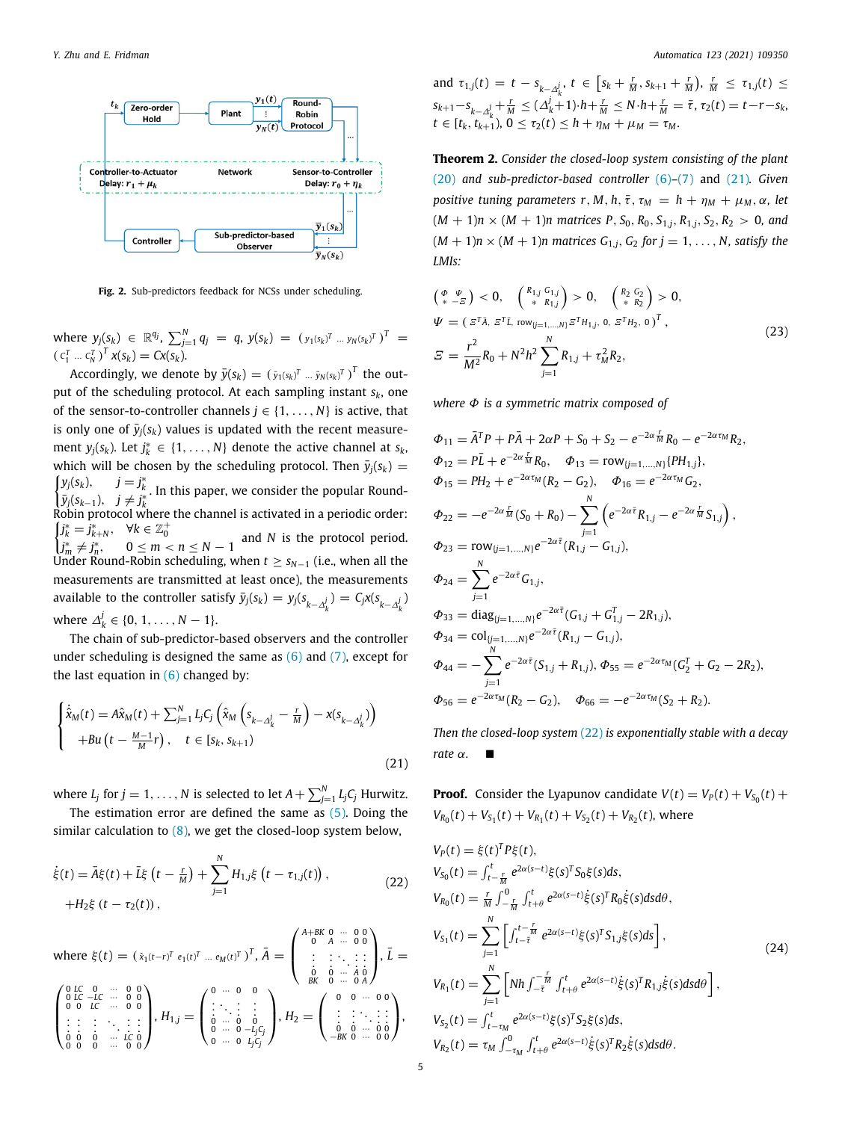

<span id="page-4-0"></span>**Fig. 2.** Sub-predictors feedback for NCSs under scheduling.

where  $y_j(s_k) \in \mathbb{R}^{q_j}$ ,  $\sum_{j=1}^N q_j = q$ ,  $y(s_k) = (y_1(s_k)^T ... y_N(s_k)^T)^T =$  $(c_1^T ... c_N^T)^T x(s_k) = Cx(s_k).$ 

Accordingly, we denote by  $\bar{y}(s_k) = (\bar{y}_1(s_k)^T ... \bar{y}_N(s_k)^T)^T$  the output of the scheduling protocol. At each sampling instant *sk*, one of the sensor-to-controller channels  $j \in \{1, \ldots, N\}$  is active, that is only one of  $\bar{y}_i(s_k)$  values is updated with the recent measurement  $y_j(s_k)$ . Let  $j_k^* \in \{1, ..., N\}$  denote the active channel at  $s_k$ , which will be chosen by the scheduling protocol. Then  $\bar{y}_i(s_k)$  =  $\int y_j(s_k)$ ,  $j = j$ ∗ *k* ∗ . In this paper, we consider the popular Round- $\bar{y}_j(s_{k-1}), \quad j \neq j_k^*$ Robin protocol where the channel is activated in a periodic order:  $\int j_k^* = \dot{j}_{k+N}^*$ ,  $\forall k \in \mathbb{Z}_0^+$  $j_k = J_{k+N}$ ,  $\forall k \in \mathbb{Z}_0$ <br>  $j_m^* \neq j_n^*$ ,  $0 \leq m < n \leq N-1$  and *N* is the protocol period. Under Round-Robin scheduling, when  $t \geq s_{N-1}$  (i.e., when all the measurements are transmitted at least once), the measurements available to the controller satisfy  $\bar{y}_j(s_k) = y_j(s_{k-\Delta_k^j}) = C_j x(s_{k-\Delta_k^j})$ where  $\Delta_k^j$  ∈ {0, 1, . . . , *N* − 1}.

The chain of sub-predictor-based observers and the controller under scheduling is designed the same as  $(6)$  $(6)$  and  $(7)$  $(7)$ , except for the last equation in  $(6)$  changed by:

$$
\begin{cases} \n\dot{\hat{\mathbf{x}}}_{M}(t) = A\hat{\mathbf{x}}_{M}(t) + \sum_{j=1}^{N} L_{j}C_{j} \left( \hat{\mathbf{x}}_{M} \left( \mathbf{s}_{k-\Delta_{k}^{j}} - \frac{r}{M} \right) - \mathbf{x}(\mathbf{s}_{k-\Delta_{k}^{j}}) \right) \\
+ Bu \left( t - \frac{M-1}{M}r \right), \quad t \in [s_{k}, s_{k+1}) \n\end{cases}
$$
\n(21)

where  $L_j$  for  $j = 1, \ldots, N$  is selected to let  $A + \sum_{j=1}^N L_j C_j$  Hurwitz.

The estimation error are defined the same as ([5](#page-1-4)). Doing the similar calculation to  $(8)$ , we get the closed-loop system below,

$$
\dot{\xi}(t) = \bar{A}\xi(t) + \bar{L}\xi(t - \frac{r}{M}) + \sum_{j=1}^{N} H_{1,j}\xi(t - \tau_{1,j}(t)),
$$
\n
$$
+ H_{2}\xi(t - \tau_{2}(t)),
$$
\n(22)

where 
$$
\xi(t) = (\hat{x}_1(t-r)^T e_1(t)^T ... e_M(t)^T)^T
$$
,  $\bar{A} = \begin{pmatrix} A+BK & 0 & \cdots & 0 & 0 \\ 0 & A & \cdots & 0 & 0 \\ \vdots & \vdots & \ddots & \vdots & \vdots \\ 0 & BK & 0 & \cdots & 0 & 0 \\ 0 & 0 & \cdots & 0 & 0 & 0 \\ \vdots & \vdots & \ddots & \vdots & \vdots & \vdots \\ 0 & 0 & 0 & \cdots & 0 & 0 \\ \vdots & \vdots & \ddots & \vdots & \vdots & \vdots \\ 0 & 0 & 0 & \cdots & 0 & 0 \\ 0 & 0 & 0 & \cdots & 0 & 0 \end{pmatrix}$ ,  $H_1$ ,  $f = \begin{pmatrix} 0 & \cdots & 0 & 0 \\ \vdots & \ddots & \vdots \\ 0 & \cdots & 0 & 0 \\ \vdots & \ddots & \vdots \\ 0 & \cdots & 0 & -I_jC_j \\ 0 & \cdots & 0 & I_jC_j \end{pmatrix}$ ,  $H_2 = \begin{pmatrix} 0 & 0 & \cdots & 0 & 0 \\ \vdots & \vdots & \ddots & \vdots \\ 0 & 0 & \cdots & 0 & 0 \\ \vdots & \vdots & \ddots & \vdots \\ 0 & 0 & \cdots & 0 & 0 \\ -BK & 0 & \cdots & 0 & 0 \end{pmatrix}$ ,

and  $\tau_{1,j}(t) = t - s_{k-\Delta_k^j}$ ,  $t \in [s_k + \frac{r}{M}, s_{k+1} + \frac{r}{M})$ ,  $\frac{r}{M} \leq \tau_{1,j}(t) \leq$  $S_{k+1}-S_{k-\Delta_k^j}+\frac{r}{M}\leq (\Delta_k^j+1)\cdot h+\frac{r}{M}\leq N\cdot h+\frac{r}{M}=\overline{\tau}, \tau_2(t)=t-r-s_k,$  $t \in [t_k, t_{k+1}), 0 \leq \tau_2(t) \leq h + \eta_M + \mu_M = \tau_M$ .

**Theorem 2.** *Consider the closed-loop system consisting of the plant* ([20](#page-3-4)) *and sub-predictor-based controller* [\(6\)](#page-1-3)*–*([7\)](#page-2-0) and [\(21](#page-4-1))*. Given positive tuning parameters r, M, h,*  $\bar{\tau}$ *,*  $\tau_M = h + \eta_M + \mu_M$ *,*  $\alpha$ *, let*  $(M + 1)n \times (M + 1)n$  matrices P,  $S_0$ ,  $R_0$ ,  $S_{1,j}$ ,  $R_{1,j}$ ,  $S_2$ ,  $R_2 > 0$ , and  $(M + 1)n \times (M + 1)n$  matrices  $G_{1,i}$ ,  $G_2$  for  $j = 1, \ldots, N$ , satisfy the *LMIs:*

<span id="page-4-3"></span>
$$
\begin{aligned}\n\left(\begin{array}{cc} \phi & \psi \\ * & -\overline{z} \end{array}\right) &< 0, \quad \left(\begin{array}{cc} R_{1,j} & G_{1,j} \\ * & R_{1,j} \end{array}\right) > 0, \quad \left(\begin{array}{cc} R_2 & G_2 \\ * & R_2 \end{array}\right) > 0, \\
\psi &= \left(\begin{array}{cc} \varepsilon^T \bar{A}, \varepsilon^T \bar{L}, \text{ row}_{\{j=1,\dots,N\}} \varepsilon^T H_{1,j}, 0, \varepsilon^T H_2, 0 \end{array}\right)^T, \\
\overline{E} &= \frac{r^2}{M^2} R_0 + N^2 h^2 \sum_{j=1}^N R_{1,j} + \tau_M^2 R_2,\n\end{aligned} \tag{23}
$$

*where* Φ *is a symmetric matrix composed of*

$$
\Phi_{11} = \bar{A}^T P + P\bar{A} + 2\alpha P + S_0 + S_2 - e^{-2\alpha t} \bar{M} R_0 - e^{-2\alpha t} M R_2,
$$
  
\n
$$
\Phi_{12} = P\bar{L} + e^{-2\alpha t} \bar{M} R_0, \quad \Phi_{13} = \text{row}_{[j=1,...,N]} \{PH_{1,j}\},
$$
  
\n
$$
\Phi_{15} = PH_2 + e^{-2\alpha t} M (R_2 - G_2), \quad \Phi_{16} = e^{-2\alpha t} M G_2,
$$
  
\n
$$
\Phi_{22} = -e^{-2\alpha t} \bar{M} (S_0 + R_0) - \sum_{j=1}^N \left( e^{-2\alpha t} R_{1,j} - e^{-2\alpha t} \bar{M} S_{1,j} \right),
$$
  
\n
$$
\Phi_{23} = \text{row}_{\{j=1,...,N\}} e^{-2\alpha t} (R_{1,j} - G_{1,j}),
$$
  
\n
$$
\Phi_{24} = \sum_{j=1}^N e^{-2\alpha t} G_{1,j},
$$
  
\n
$$
\Phi_{33} = \text{diag}_{\{j=1,...,N\}} e^{-2\alpha t} (G_{1,j} + G_{1,j}^T - 2R_{1,j}),
$$
  
\n
$$
\Phi_{34} = \text{col}_{\{j=1,...,N\}} e^{-2\alpha t} (R_{1,j} - G_{1,j}),
$$
  
\n
$$
\Phi_{44} = -\sum_{j=1}^N e^{-2\alpha t} (S_{1,j} + R_{1,j}), \Phi_{55} = e^{-2\alpha t} M (G_2^T + G_2 - 2R_2),
$$
  
\n
$$
\Phi_{56} = e^{-2\alpha t} M (R_2 - G_2), \quad \Phi_{66} = -e^{-2\alpha t} M (S_2 + R_2).
$$

<span id="page-4-1"></span>*Then the closed-loop system* ([22\)](#page-4-2) *is exponentially stable with a decay rate*  $α$ *.* 

**Proof.** Consider the Lyapunov candidate  $V(t) = V_P(t) + V_{S_0}(t) +$  $V_{R_0}(t) + V_{S_1}(t) + V_{R_1}(t) + V_{S_2}(t) + V_{R_2}(t)$ , where

<span id="page-4-2"></span>
$$
V_{P}(t) = \xi(t)^{T} P \xi(t),
$$
  
\n
$$
V_{S_{0}}(t) = \int_{t-\frac{r}{M}}^{t} e^{2\alpha(s-t)} \xi(s)^{T} S_{0} \xi(s) ds,
$$
  
\n
$$
V_{R_{0}}(t) = \frac{r}{M} \int_{-\frac{r}{M}}^{0} \int_{t+\theta}^{t} e^{2\alpha(s-t)} \xi(s)^{T} R_{0} \xi(s) ds d\theta,
$$
  
\n
$$
V_{S_{1}}(t) = \sum_{j=1}^{N} \left[ \int_{t-\overline{t}}^{t-\frac{r}{M}} e^{2\alpha(s-t)} \xi(s)^{T} S_{1,j} \xi(s) ds \right],
$$
  
\n
$$
V_{R_{1}}(t) = \sum_{j=1}^{N} \left[ Nh \int_{-\overline{t}}^{-\frac{r}{M}} \int_{t+\theta}^{t} e^{2\alpha(s-t)} \xi(s)^{T} R_{1,j} \xi(s) ds d\theta \right],
$$
  
\n
$$
V_{S_{2}}(t) = \int_{t-\tau_{M}}^{t} e^{2\alpha(s-t)} \xi(s)^{T} S_{2} \xi(s) ds,
$$
  
\n
$$
V_{R_{2}}(t) = \tau_{M} \int_{-\tau_{M}}^{0} \int_{t+\theta}^{t} e^{2\alpha(s-t)} \xi(s)^{T} R_{2} \xi(s) ds d\theta.
$$
  
\n(24)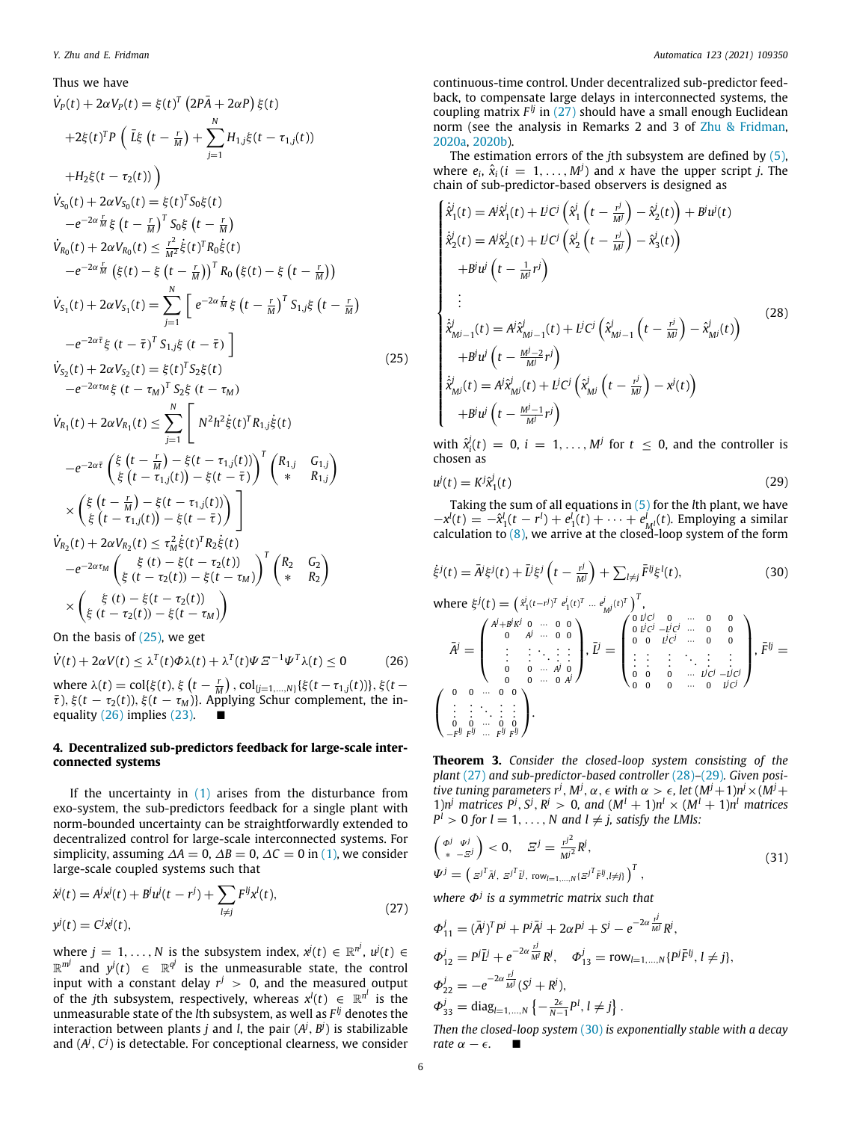#### Thus we have

$$
\dot{V}_{P}(t) + 2\alpha V_{P}(t) = \xi(t)^{T} (2P\bar{A} + 2\alpha P) \xi(t) \n+2\xi(t)^{T} P (\bar{L}\xi (t - \frac{r}{M}) + \sum_{j=1}^{N} H_{1,j}\xi(t - \tau_{1,j}(t)) \n+H_{2}\xi(t - \tau_{2}(t)) \n+H_{2}\xi(t - \tau_{2}(t)) \n+Z\delta(t) = \xi(t)^{T} S_{0}\xi(t) \n+Z\delta(t) = \xi(t)^{T} S_{0}\xi(t) \n+Z\delta(t) = \frac{r^{2}}{M} \xi(t - \frac{r}{M})^{T} S_{0}\xi(t - \frac{r}{M}) \n\dot{V}_{R_{0}}(t) + 2\alpha V_{R_{0}}(t) \leq \frac{r^{2}}{M^{2}} \xi(t)^{T} R_{0}\xi(t) \n+Z\delta(t) = \xi(t - \frac{r}{M})^{T} R_{0} (\xi(t) - \xi(t - \frac{r}{M})) \n\dot{V}_{S_{1}}(t) + 2\alpha V_{S_{1}}(t) = \sum_{j=1}^{N} \left[ e^{-2\alpha \frac{r}{M}} \xi(t - \frac{r}{M})^{T} S_{1,j}\xi(t - \frac{r}{M}) \right. \n+Z\delta(t) + Z\delta(t) = \xi(t)^{T} S_{2}\xi(t) \n+Z\delta(t) = \xi(t)^{T} S_{2}\xi(t) \n+Z\delta(t) = \sum_{j=1}^{N} \left[ N^{2}h^{2}\xi(t)^{T}R_{1,j}\xi(t) \n+Z\delta(t) = \sum_{j=1}^{N} \left[ N^{2}h^{2}\xi(t)^{T}R_{1,j}\xi(t) \right. \n+Z\delta(t) = \sum_{j=1}^{N} \left[ N^{2}h^{2}\xi(t)^{T}R_{1,j}\xi(t) \right. \n+Z\delta(t) = \sum_{j=1}^{N} \left[ N^{2}h^{2}\xi(t)^{T}R_{1,j}\xi(t) \right. \n+Z\delta(t) = \sum_{j=1}^{N} \left[ N^{2}h^{2}\xi(t)^{T}R_{1,j}\xi(t) \right. \n+Z\delta(t) = \sum_{j=1}^{N} \left[ N^{2}h
$$

On the basis of ([25](#page-5-0)), we get

$$
\dot{V}(t) + 2\alpha V(t) \le \lambda^{T}(t)\Phi\lambda(t) + \lambda^{T}(t)\Psi E^{-1}\Psi^{T}\lambda(t) \le 0
$$
 (26)

where  $\lambda(t) = \text{col}\{\xi(t), \xi\left(t - \frac{r}{M}\right), \text{col}_{\{j=1,\dots,N\}}\{\xi(t - \tau_{1,j}(t))\}, \xi(t - \tau_{2,j}(t))\}$  $\bar{\tau}$ ),  $\xi$ ( $t - \tau_2(t)$ ),  $\xi$ ( $t - \tau_M$ )}. Applying Schur complement, the inequality  $(26)$  $(26)$  $(26)$  implies  $(23)$  $(23)$ .

# **4. Decentralized sub-predictors feedback for large-scale interconnected systems**

If the uncertainty in  $(1)$  $(1)$  arises from the disturbance from exo-system, the sub-predictors feedback for a single plant with norm-bounded uncertainty can be straightforwardly extended to decentralized control for large-scale interconnected systems. For simplicity, assuming  $\Delta A = 0$ ,  $\Delta B = 0$ ,  $\Delta C = 0$  in [\(1](#page-1-1)), we consider large-scale coupled systems such that

$$
\dot{x}^{j}(t) = A^{j}x^{j}(t) + B^{j}u^{j}(t - r^{j}) + \sum_{l \neq j} F^{lj}x^{l}(t),
$$
  
\n
$$
y^{j}(t) = C^{j}x^{j}(t),
$$
\n(27)

where  $j = 1, \ldots, N$  is the subsystem index,  $x^j(t) \in \mathbb{R}^{n^j}$ ,  $u^j(t) \in$  $\mathbb{R}^{m^j}$  and  $y^j(t)$   $\in$   $\mathbb{R}^{q^j}$  is the unmeasurable state, the control input with a constant delay  $r^j$   $>$  0, and the measured output of the *j*th subsystem, respectively, whereas  $x^l(t) \in \mathbb{R}^{n^l}$  is the unmeasurable state of the *l*th subsystem, as well as *F lj* denotes the interaction between plants  $j$  and  $l$ , the pair  $(A^j, B^j)$  is stabilizable and (A<sup>j</sup>, C<sup>j</sup>) is detectable. For conceptional clearness, we consider continuous-time control. Under decentralized sub-predictor feedback, to compensate large delays in interconnected systems, the coupling matrix  $F^{lj}$  in ([27\)](#page-5-2) should have a small enough Euclidean norm (see the analysis in Remarks 2 and 3 of [Zhu & Fridman,](#page-7-12) [2020a](#page-7-12), [2020b\)](#page-7-13).

The estimation errors of the *j*th subsystem are defined by ([5\)](#page-1-4), where  $e_i$ ,  $\hat{x}_i$  ( $i = 1, ..., M^j$ ) and *x* have the upper script *j*. The chain of sub-predictor-based observers is designed as

<span id="page-5-3"></span>
$$
\begin{cases}\n\dot{\hat{x}}_{1}^{j}(t) = A^{j}\hat{x}_{1}^{j}(t) + L^{j}C^{j}\left(\hat{x}_{1}^{j}\left(t - \frac{r^{j}}{M^{j}}\right) - \hat{x}_{2}^{j}(t)\right) + B^{j}u^{j}(t) \\
\dot{\hat{x}}_{2}^{j}(t) = A^{j}\hat{x}_{2}^{j}(t) + L^{j}C^{j}\left(\hat{x}_{2}^{j}\left(t - \frac{r^{j}}{M^{j}}\right) - \hat{x}_{3}^{j}(t)\right) \\
+ B^{j}u^{j}\left(t - \frac{1}{M^{j}}r^{j}\right) \\
\vdots \\
\dot{\hat{x}}_{M^{j}-1}^{j}(t) = A^{j}\hat{x}_{M^{j}-1}^{j}(t) + L^{j}C^{j}\left(\hat{x}_{M^{j}-1}^{j}\left(t - \frac{r^{j}}{M^{j}}\right) - \hat{x}_{M^{j}}^{j}(t)\right) \\
+ B^{j}u^{j}\left(t - \frac{M^{j}-2}{M^{j}}r^{j}\right) \\
\dot{\hat{x}}_{M^{j}}^{j}(t) = A^{j}\hat{x}_{M^{j}}^{j}(t) + L^{j}C^{j}\left(\hat{x}_{M^{j}}^{j}\left(t - \frac{r^{j}}{M^{j}}\right) - x^{j}(t)\right) \\
+ B^{j}u^{j}\left(t - \frac{M^{j}-1}{M^{j}}r^{j}\right)\n\end{cases} \tag{28}
$$

<span id="page-5-0"></span>with  $\hat{x}_i^j(t) = 0$ ,  $i = 1, ..., M^j$  for  $t \le 0$ , and the controller is chosen as

<span id="page-5-4"></span>
$$
u^{j}(t) = K^{j} \hat{x}_{1}^{j}(t) \tag{29}
$$

Taking the sum of all equations in [\(5](#page-1-4)) for the *l*th plant, we have  $-x^{l}(t) = -\hat{x}_{1}^{l}(t - r^{l}) + e_{1}^{l}(t) + \cdots + e_{M^{l}}^{l}(t)$ . Employing a similar calculation to  $(8)$  $(8)$ , we arrive at the closed-loop system of the form

<span id="page-5-5"></span>
$$
\dot{\xi}^{j}(t) = \bar{A}^{j}\xi^{j}(t) + \bar{L}^{j}\xi^{j}\left(t - \frac{r^{j}}{M^{j}}\right) + \sum_{l \neq j} \bar{F}^{lj}\xi^{l}(t),
$$
\n(30)

<span id="page-5-1"></span>where 
$$
\xi^{j}(t) = (\dot{x}_{1}^{i}(t - r^{j})^{T} e_{1}^{j}(t)^{T} ... e_{M}^{j}(t)^{T})^{T}
$$
,  
\n
$$
\bar{A}^{j} = \begin{pmatrix}\nA^{j} + B^{j} K^{j} & 0 & \cdots & 0 & 0 \\
0 & A^{j} & \cdots & 0 & 0 \\
\vdots & \vdots & \ddots & \vdots & \vdots \\
0 & 0 & \cdots & A^{j} & 0 \\
\vdots & \vdots & \ddots & \vdots & \vdots \\
0 & 0 & \cdots & A^{j} & 0 \\
\vdots & \vdots & \ddots & \vdots & \vdots \\
0 & 0 & \cdots & 0 & A^{j}\n\end{pmatrix}, \bar{L}^{j} = \begin{pmatrix}\n0 & L^{j} C^{j} & 0 & \cdots & 0 & 0 \\
0 & L^{j} C^{j} & - L^{j} C^{j} & \cdots & 0 & 0 \\
0 & 0 & L^{j} C^{j} & \cdots & 0 & 0 \\
\vdots & \vdots & \vdots & \ddots & \vdots & \vdots \\
0 & 0 & 0 & \cdots & L^{j} C^{j} - L^{j} C^{j}\n\end{pmatrix}, \bar{F}^{ij} = \begin{pmatrix}\n0 & 0 & \cdots & 0 & 0 \\
0 & L^{j} C^{j} & \cdots & 0 & 0 \\
\vdots & \vdots & \vdots & \ddots & \vdots \\
0 & 0 & 0 & \cdots & L^{j} C^{j} - L^{j} C^{j}\n\end{pmatrix}
$$

**Theorem 3.** *Consider the closed-loop system consisting of the plant* [\(27\)](#page-5-2) *and sub-predictor-based controller* ([28](#page-5-3))*–*[\(29\)](#page-5-4)*. Given positive tuning parameters*  $r^j$ *,*  $M^j$ *,*  $\alpha$ *,*  $\epsilon$  *with*  $\alpha > \epsilon$ *, let*  $(M^j + 1)n^j \times (M^j + 1)$ 1) $n^j$  matrices  $P^j$ ,  $S^j$ ,  $R^j > 0$ , and  $(M^l + 1)n^l \times (M^l + 1)n^l$  matrices  $P^l > 0$  for  $l = 1, \ldots, N$  and  $l \neq j$ , satisfy the LMIs:

<span id="page-5-6"></span>
$$
\begin{aligned}\n\left(\begin{array}{cc}\n\phi^j & \psi^j \\
\ast & -\overline{\varepsilon}^j\n\end{array}\right) < 0, \quad \overline{\varepsilon}^j = \frac{r^j^2}{M^2} R^j, \\
\Psi^j &= \left(\varepsilon^{j^T} \overline{\varepsilon}^j, \varepsilon^{j^T} \overline{\varepsilon}^j, \text{row}_{l=1,\dots,N}(\varepsilon^{j^T} \overline{F}^j, l \neq j)\right)^T,\n\end{aligned} \tag{31}
$$

<span id="page-5-2"></span>*where* Φ*<sup>j</sup> is a symmetric matrix such that*

$$
\Phi_{11}^{j} = (\bar{A}^{j})^{T} P^{j} + P^{j} \bar{A}^{j} + 2\alpha P^{j} + S^{j} - e^{-2\alpha \frac{r^{j}}{M^{j}}} R^{j},
$$
  
\n
$$
\Phi_{12}^{j} = P^{j} \bar{L}^{j} + e^{-2\alpha \frac{r^{j}}{M^{j}}} R^{j}, \quad \Phi_{13}^{j} = \text{row}_{l=1,\dots,N} \{P^{j} \bar{F}^{lj}, l \neq j\},
$$
  
\n
$$
\Phi_{22}^{j} = -e^{-2\alpha \frac{r^{j}}{M^{j}}} (S^{j} + R^{j}),
$$
  
\n
$$
\Phi_{33}^{j} = \text{diag}_{l=1,\dots,N} \{ -\frac{2\epsilon}{N-1} P^{l}, l \neq j \}.
$$

*Then the closed-loop system* ([30\)](#page-5-5) *is exponentially stable with a decay rate*  $\alpha - \epsilon$ . ■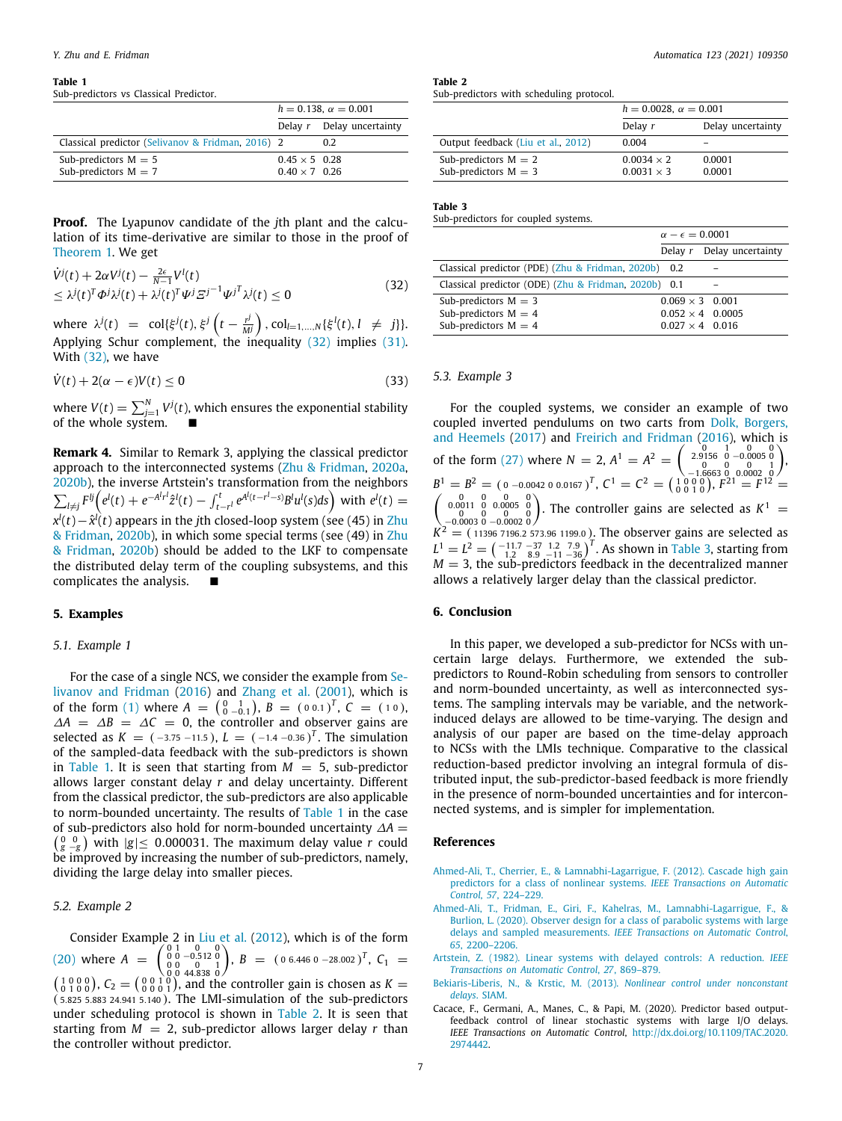#### **Table 1**

<span id="page-6-6"></span>Sub-predictors vs Classical Predictor.

|                                                   | $h = 0.138$ . $\alpha = 0.001$ |                           |
|---------------------------------------------------|--------------------------------|---------------------------|
|                                                   |                                | Delay r Delay uncertainty |
| Classical predictor (Selivanov & Fridman, 2016) 2 |                                | 0.2                       |
| Sub-predictors $M = 5$                            | $0.45 \times 5$ 0.28           |                           |
| Sub-predictors $M = 7$                            | $0.40 \times 7$ 0.26           |                           |

**Proof.** The Lyapunov candidate of the *j*th plant and the calculation of its time-derivative are similar to those in the proof of [Theorem](#page-2-6) [1](#page-2-6). We get

$$
\dot{V}^{j}(t) + 2\alpha V^{j}(t) - \frac{2\epsilon}{N-1} V^{l}(t) \n\leq \lambda^{j}(t)^{T} \Phi^{j} \lambda^{j}(t) + \lambda^{j}(t)^{T} \Psi^{j} \Xi^{j-1} \Psi^{j} \lambda^{j}(t) \leq 0
$$
\n(32)

where  $\lambda^{j}(t) = \text{col}\{\xi^{j}(t), \xi^{j}\left(t - \frac{r^{j}}{M}\right)$  $\left(\frac{r^j}{M^j}\right)$ , col<sub>l=1,...,*N*</sub> { $\xi^l(t)$ , *l*  $\neq j$ }. Applying Schur complement, the inequality [\(32\)](#page-6-5) implies [\(31\)](#page-5-6). With ([32](#page-6-5)), we have

$$
\dot{V}(t) + 2(\alpha - \epsilon)V(t) \le 0 \tag{33}
$$

where  $V(t)=\sum_{j=1}^N V^j(t)$ , which ensures the exponential stability of the whole system.

**Remark 4.** Similar to Remark 3, applying the classical predictor approach to the interconnected systems ([Zhu & Fridman](#page-7-12), [2020a,](#page-7-12) [2020b\)](#page-7-13), the inverse Artstein's transformation from the neighbors  $\sum_{l\neq j} F^{lj} (e^l(t) + e^{-A^l r^l} \hat{z}^l(t) - \int_{t-r^l}^t e^{A^l(t-r^l-s)} B^l u^l(s) ds)$  with  $e^l(t) =$ *x*<sup>*l*</sup>(*t*) appears in the *j*th closed-loop system (see (45) in [Zhu](#page-7-13) [& Fridman](#page-7-13), [2020b\)](#page-7-13), in which some special terms (see (49) in [Zhu](#page-7-13) [& Fridman](#page-7-13), [2020b\)](#page-7-13) should be added to the LKF to compensate the distributed delay term of the coupling subsystems, and this complicates the analysis. ■

# **5. Examples**

#### *5.1. Example 1*

For the case of a single NCS, we consider the example from [Se](#page-7-8)[livanov and Fridman](#page-7-8) [\(2016](#page-7-8)) and [Zhang et al.](#page-7-11) ([2001\)](#page-7-11), which is of the form [\(1](#page-1-1)) where  $A = \begin{pmatrix} 0 & 1 \ 0 & -0.1 \end{pmatrix}$ ,  $B = (0 \ 0.1)^T$ ,  $C = (10)$ ,  $\Delta A = \Delta B = \Delta C = 0$ , the controller and observer gains are selected as  $K = (-3.75 - 11.5)$ ,  $L = (-1.4 - 0.36)^T$ . The simulation of the sampled-data feedback with the sub-predictors is shown in [Table](#page-6-6) [1](#page-6-6). It is seen that starting from  $M = 5$ , sub-predictor allows larger constant delay *r* and delay uncertainty. Different from the classical predictor, the sub-predictors are also applicable to norm-bounded uncertainty. The results of [Table](#page-6-6) [1](#page-6-6) in the case  $\binom{0}{g}$   $\frac{0}{g}$  with  $|g| \leq 0.000031$ . The maximum delay value *r* could of sub-predictors also hold for norm-bounded uncertainty ∆*A* = be improved by increasing the number of sub-predictors, namely, dividing the large delay into smaller pieces.

#### *5.2. Example 2*

Consider Example 2 in [Liu et al.](#page-7-26) ([2012](#page-7-26)), which is of the form ([20](#page-3-4)) where  $A = \begin{pmatrix} 0 & 1 & 0 & 0 \\ 0 & 0 & -0.512 & 0 \\ 0 & 0 & 0 & 1 \\ 0 & 0 & 44.838 & 0 \end{pmatrix}$ ,  $B = (0.6.446 \text{ or } -28.002)^T$ ,  $C_1 = (0.6.446 \text{ or } 0.6446)^T$  $\binom{1\,0\,0\,0}{0\,1\,0\,0}$ ,  $C_2 = \binom{0\,0\,1\,0}{0\,0\,0\,1}$ , and the controller gain is chosen as  $K =$ ( <sup>5</sup>.825 5.883 24.941 5.<sup>140</sup> ). The LMI-simulation of the sub-predictors under scheduling protocol is shown in [Table](#page-6-7) [2](#page-6-7). It is seen that starting from  $M = 2$ , sub-predictor allows larger delay *r* than the controller without predictor.

<span id="page-6-7"></span>**Table 2** Sub-predictors with scheduling protocol.

|                                    | $h = 0.0028$ , $\alpha = 0.001$ |                   |  |
|------------------------------------|---------------------------------|-------------------|--|
|                                    | Delay r                         | Delay uncertainty |  |
| Output feedback (Liu et al., 2012) | 0.004                           |                   |  |
| Sub-predictors $M = 2$             | $0.0034 \times 2$               | 0.0001            |  |
| Sub-predictors $M = 3$             | $0.0031 \times 3$               | 0.0001            |  |

### **Table 3**

<span id="page-6-8"></span>Sub-predictors for coupled systems.

<span id="page-6-5"></span>

|                                                      | $\alpha - \epsilon = 0.0001$ |                             |
|------------------------------------------------------|------------------------------|-----------------------------|
|                                                      |                              | Delay $r$ Delay uncertainty |
| Classical predictor (PDE) (Zhu & Fridman, 2020b) 0.2 |                              |                             |
| Classical predictor (ODE) (Zhu & Fridman, 2020b) 0.1 |                              |                             |
| Sub-predictors $M = 3$                               |                              | $0.069 \times 3$ 0.001      |
| Sub-predictors $M = 4$                               |                              | $0.052 \times 4$ 0.0005     |
| Sub-predictors $M = 4$                               |                              | $0.027 \times 4$ 0.016      |

# *5.3. Example 3*

For the coupled systems, we consider an example of two coupled inverted pendulums on two carts from [Dolk, Borgers,](#page-7-29) [and Heemels](#page-7-29) [\(2017](#page-7-29)) and [Freirich and Fridman](#page-7-2) ([2016\)](#page-7-2), which is of the form ([27](#page-5-2)) where  $N = 2$ ,  $A^1 = A^2 = \begin{pmatrix} 0 & 1 & 0 & 0 & 0 \\ 2.9156 & 0 & -0.0005 & 0 \\ 0 & 0 & 0 & 1 \\ -1.6663 & 0 & 0.0002 & 0 \end{pmatrix}$  $B^1 = B^2 = (0 - 0.0042 \, 0.0167)^T$ ,  $C^1 = C^2 = \begin{pmatrix} 1 & 0 & 0 & 0 \\ 0 & 0 & 1 & 0 \end{pmatrix}$ ,  $F^{21} = F^{12} =$  $\begin{pmatrix} 0 & 0 & 0 & 0 \\ 0 & 0 & 0 & 0 & 0 \\ -0.0003 & 0 & -0.0002 & 0 \end{pmatrix}$ . The controller gains are selected as  $K^1$  =  $K^2 = (113967196.2573.961199.0)$ . The observer gains are selected as  $L^1 = L^2 = \begin{pmatrix} -11.7 & -37 & 1.2 & 7.9 \\ 1.2 & 8.9 & -11 & -36 \end{pmatrix}^T$ . As shown in [Table](#page-6-8) [3,](#page-6-8) starting from  $M = 3$ , the sub-predictors feedback in the decentralized manner allows a relatively larger delay than the classical predictor.

## **6. Conclusion**

In this paper, we developed a sub-predictor for NCSs with uncertain large delays. Furthermore, we extended the subpredictors to Round-Robin scheduling from sensors to controller and norm-bounded uncertainty, as well as interconnected systems. The sampling intervals may be variable, and the networkinduced delays are allowed to be time-varying. The design and analysis of our paper are based on the time-delay approach to NCSs with the LMIs technique. Comparative to the classical reduction-based predictor involving an integral formula of distributed input, the sub-predictor-based feedback is more friendly in the presence of norm-bounded uncertainties and for interconnected systems, and is simpler for implementation.

# **References**

- <span id="page-6-2"></span>[Ahmed-Ali, T., Cherrier, E., & Lamnabhi-Lagarrigue, F. \(2012\). Cascade high gain](http://refhub.elsevier.com/S0005-1098(20)30551-3/sb1) [predictors for a class of nonlinear systems.](http://refhub.elsevier.com/S0005-1098(20)30551-3/sb1) *IEEE Transactions on Automatic Control*, *57*[, 224–229.](http://refhub.elsevier.com/S0005-1098(20)30551-3/sb1)
- <span id="page-6-3"></span>[Ahmed-Ali, T., Fridman, E., Giri, F., Kahelras, M., Lamnabhi-Lagarrigue, F., &](http://refhub.elsevier.com/S0005-1098(20)30551-3/sb2) [Burlion, L. \(2020\). Observer design for a class of parabolic systems with large](http://refhub.elsevier.com/S0005-1098(20)30551-3/sb2) delays and sampled measurements. *[IEEE Transactions on Automatic Control](http://refhub.elsevier.com/S0005-1098(20)30551-3/sb2)*, *65*[, 2200–2206.](http://refhub.elsevier.com/S0005-1098(20)30551-3/sb2)
- <span id="page-6-0"></span>[Artstein, Z. \(1982\). Linear systems with delayed controls: A reduction.](http://refhub.elsevier.com/S0005-1098(20)30551-3/sb3) *IEEE [Transactions on Automatic Control](http://refhub.elsevier.com/S0005-1098(20)30551-3/sb3)*, *27*, 869–879.
- <span id="page-6-1"></span>[Bekiaris-Liberis, N., & Krstic, M. \(2013\).](http://refhub.elsevier.com/S0005-1098(20)30551-3/sb4) *Nonlinear control under nonconstant delays*[. SIAM.](http://refhub.elsevier.com/S0005-1098(20)30551-3/sb4)
- <span id="page-6-4"></span>Cacace, F., Germani, A., Manes, C., & Papi, M. (2020). Predictor based outputfeedback control of linear stochastic systems with large I/O delays. *IEEE Transactions on Automatic Control*, [http://dx.doi.org/10.1109/TAC.2020.](http://dx.doi.org/10.1109/TAC.2020.2974442) [2974442](http://dx.doi.org/10.1109/TAC.2020.2974442).